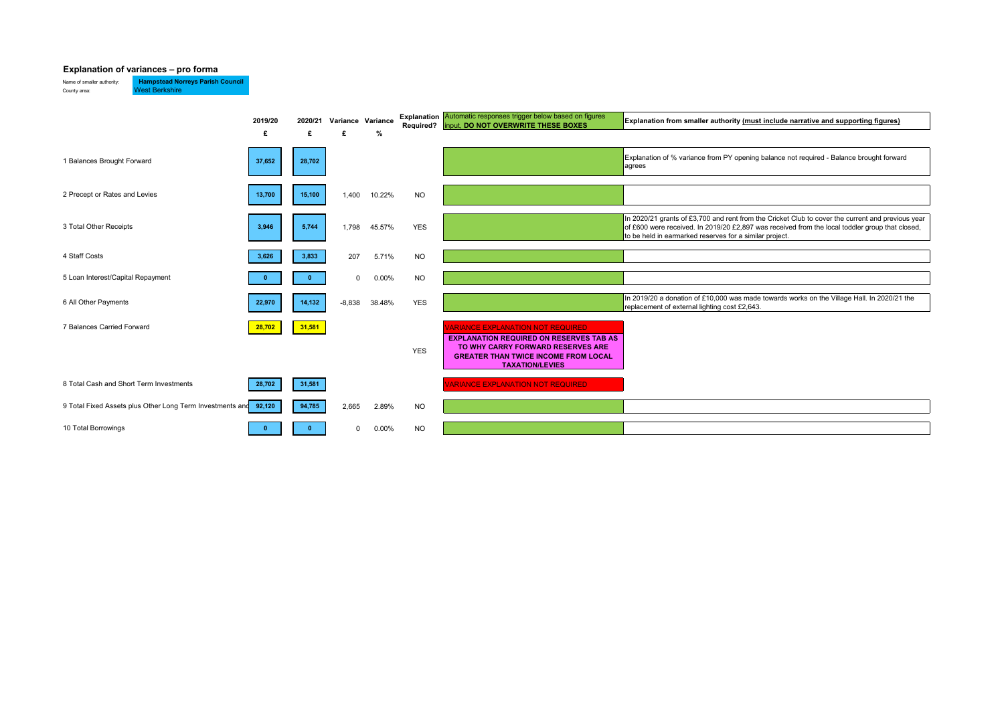## **Explanation of variances – pro forma**

Name of smaller authority: **Hampstead Norreys Parish Council** County area: West Berkshire